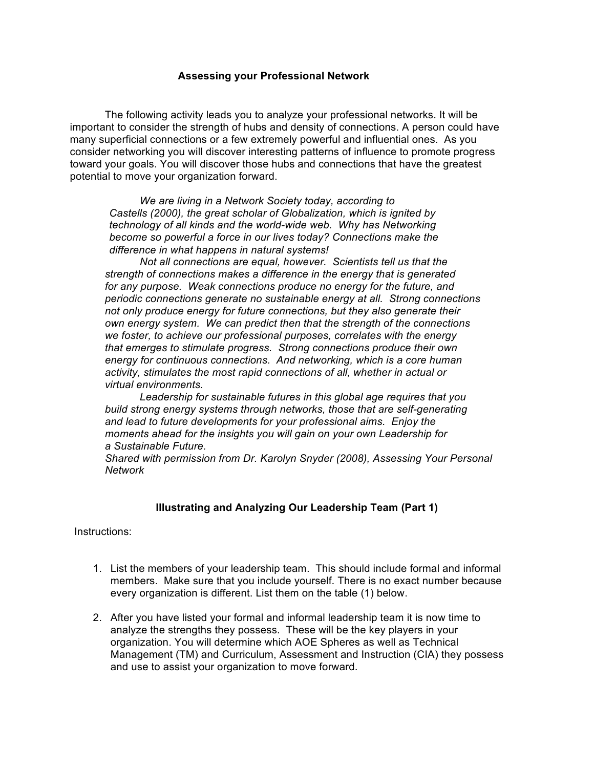## **Assessing your Professional Network**

The following activity leads you to analyze your professional networks. It will be important to consider the strength of hubs and density of connections. A person could have many superficial connections or a few extremely powerful and influential ones. As you consider networking you will discover interesting patterns of influence to promote progress toward your goals. You will discover those hubs and connections that have the greatest potential to move your organization forward.

*We are living in a Network Society today, according to Castells (2000), the great scholar of Globalization, which is ignited by technology of all kinds and the world-wide web. Why has Networking become so powerful a force in our lives today? Connections make the difference in what happens in natural systems!*

*Not all connections are equal, however. Scientists tell us that the strength of connections makes a difference in the energy that is generated for any purpose. Weak connections produce no energy for the future, and periodic connections generate no sustainable energy at all. Strong connections not only produce energy for future connections, but they also generate their own energy system. We can predict then that the strength of the connections we foster, to achieve our professional purposes, correlates with the energy that emerges to stimulate progress. Strong connections produce their own energy for continuous connections. And networking, which is a core human activity, stimulates the most rapid connections of all, whether in actual or virtual environments.*

*Leadership for sustainable futures in this global age requires that you build strong energy systems through networks, those that are self-generating and lead to future developments for your professional aims. Enjoy the moments ahead for the insights you will gain on your own Leadership for a Sustainable Future.*

*Shared with permission from Dr. Karolyn Snyder (2008), Assessing Your Personal Network*

## **Illustrating and Analyzing Our Leadership Team (Part 1)**

Instructions:

- 1. List the members of your leadership team. This should include formal and informal members. Make sure that you include yourself. There is no exact number because every organization is different. List them on the table (1) below.
- 2. After you have listed your formal and informal leadership team it is now time to analyze the strengths they possess. These will be the key players in your organization. You will determine which AOE Spheres as well as Technical Management (TM) and Curriculum, Assessment and Instruction (CIA) they possess and use to assist your organization to move forward.